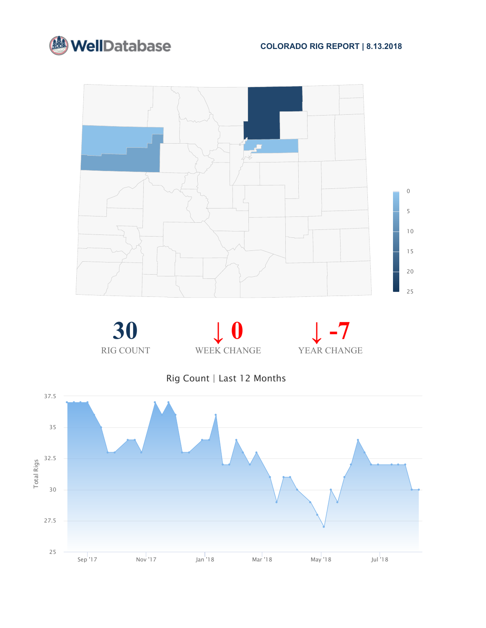













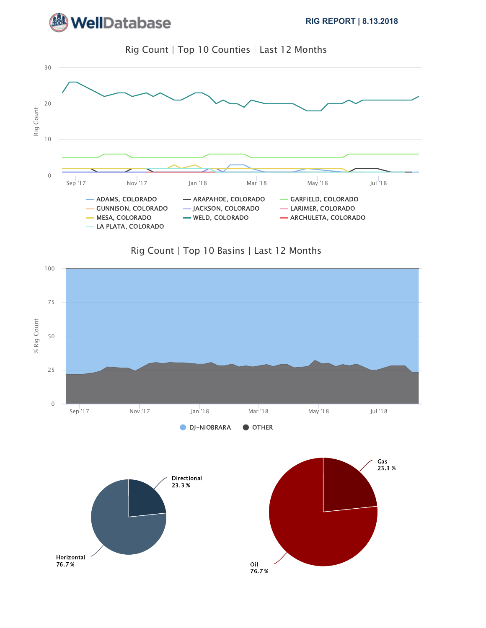







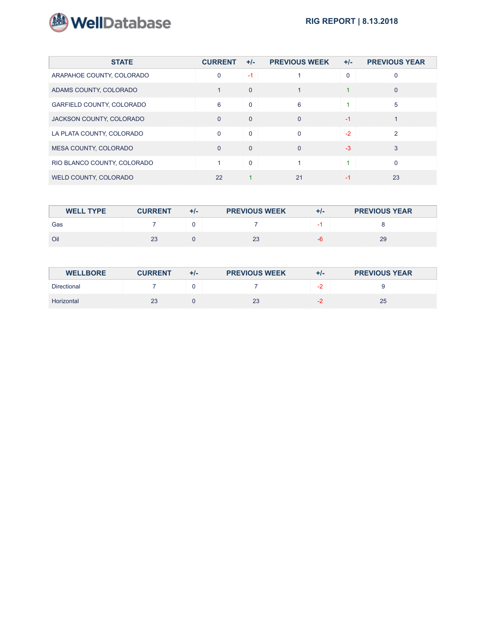![](_page_2_Picture_0.jpeg)

| <b>STATE</b>                | <b>CURRENT</b> | $+/-$    | <b>PREVIOUS WEEK</b> | $+/-$ | <b>PREVIOUS YEAR</b> |
|-----------------------------|----------------|----------|----------------------|-------|----------------------|
| ARAPAHOE COUNTY, COLORADO   | $\mathbf{0}$   | -1       |                      |       |                      |
| ADAMS COUNTY, COLORADO      |                | $\Omega$ |                      |       |                      |
| GARFIELD COUNTY, COLORADO   | 6              | $\Omega$ | 6                    |       | 5                    |
| JACKSON COUNTY, COLORADO    | $\Omega$       | $\Omega$ | $\Omega$             | $-1$  |                      |
| LA PLATA COUNTY, COLORADO   | $\Omega$       |          | $\Omega$             | $-2$  | $\mathcal{P}$        |
| MESA COUNTY, COLORADO       | $\Omega$       | $\Omega$ | $\Omega$             | $-3$  | 3                    |
| RIO BLANCO COUNTY, COLORADO |                |          |                      |       |                      |
| WELD COUNTY, COLORADO       | 22             |          | 21                   |       | 23                   |

| <b>WELL TYPE</b> | <b>CURRENT</b> | $+1-$ | <b>PREVIOUS WEEK</b> | $+/-$ | <b>PREVIOUS YEAR</b> |
|------------------|----------------|-------|----------------------|-------|----------------------|
| Gas              |                |       |                      |       |                      |
| Oil              | 23             |       | 23                   |       | 29                   |

| <b>WELLBORE</b>    | <b>CURRENT</b> | $+/-$ | <b>PREVIOUS WEEK</b> | $+/-$      | <b>PREVIOUS YEAR</b> |
|--------------------|----------------|-------|----------------------|------------|----------------------|
| <b>Directional</b> |                |       |                      | $\sqrt{2}$ |                      |
| Horizontal         | 23             |       | 23                   |            | 25                   |